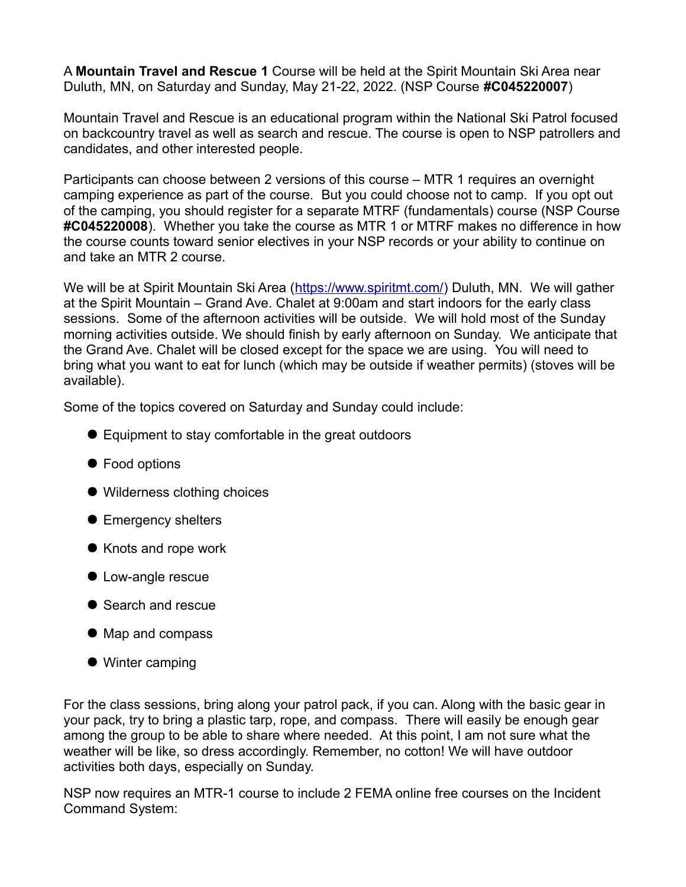A **Mountain Travel and Rescue 1** Course will be held at the Spirit Mountain Ski Area near Duluth, MN, on Saturday and Sunday, May 21-22, 2022. (NSP Course **#C045220007**)

Mountain Travel and Rescue is an educational program within the National Ski Patrol focused on backcountry travel as well as search and rescue. The course is open to NSP patrollers and candidates, and other interested people.

Participants can choose between 2 versions of this course – MTR 1 requires an overnight camping experience as part of the course. But you could choose not to camp. If you opt out of the camping, you should register for a separate MTRF (fundamentals) course (NSP Course **#C045220008**). Whether you take the course as MTR 1 or MTRF makes no difference in how the course counts toward senior electives in your NSP records or your ability to continue on and take an MTR 2 course.

We will be at Spirit Mountain Ski Area [\(https://www.spiritmt.com/\)](https://www.spiritmt.com/) Duluth, MN. We will gather at the Spirit Mountain – Grand Ave. Chalet at 9:00am and start indoors for the early class sessions. Some of the afternoon activities will be outside. We will hold most of the Sunday morning activities outside. We should finish by early afternoon on Sunday. We anticipate that the Grand Ave. Chalet will be closed except for the space we are using. You will need to bring what you want to eat for lunch (which may be outside if weather permits) (stoves will be available).

Some of the topics covered on Saturday and Sunday could include:

- Equipment to stay comfortable in the great outdoors
- Food options
- Wilderness clothing choices
- Emergency shelters
- Knots and rope work
- Low-angle rescue
- Search and rescue
- Map and compass
- Winter camping

For the class sessions, bring along your patrol pack, if you can. Along with the basic gear in your pack, try to bring a plastic tarp, rope, and compass. There will easily be enough gear among the group to be able to share where needed. At this point, I am not sure what the weather will be like, so dress accordingly. Remember, no cotton! We will have outdoor activities both days, especially on Sunday.

NSP now requires an MTR-1 course to include 2 FEMA online free courses on the Incident Command System: